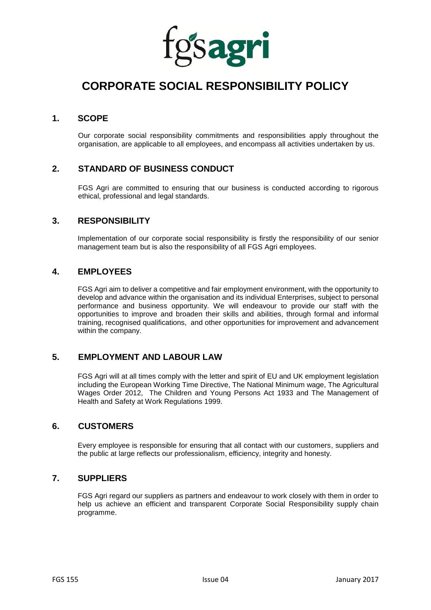

# **CORPORATE SOCIAL RESPONSIBILITY POLICY**

## **1. SCOPE**

Our corporate social responsibility commitments and responsibilities apply throughout the organisation, are applicable to all employees, and encompass all activities undertaken by us.

## **2. STANDARD OF BUSINESS CONDUCT**

FGS Agri are committed to ensuring that our business is conducted according to rigorous ethical, professional and legal standards.

## **3. RESPONSIBILITY**

Implementation of our corporate social responsibility is firstly the responsibility of our senior management team but is also the responsibility of all FGS Agri employees.

#### **4. EMPLOYEES**

FGS Agri aim to deliver a competitive and fair employment environment, with the opportunity to develop and advance within the organisation and its individual Enterprises, subject to personal performance and business opportunity. We will endeavour to provide our staff with the opportunities to improve and broaden their skills and abilities, through formal and informal training, recognised qualifications, and other opportunities for improvement and advancement within the company.

#### **5. EMPLOYMENT AND LABOUR LAW**

FGS Agri will at all times comply with the letter and spirit of EU and UK employment legislation including the European Working Time Directive, The National Minimum wage, The Agricultural Wages Order 2012, The Children and Young Persons Act 1933 and The Management of Health and Safety at Work Regulations 1999.

#### **6. CUSTOMERS**

Every employee is responsible for ensuring that all contact with our customers, suppliers and the public at large reflects our professionalism, efficiency, integrity and honesty.

#### **7. SUPPLIERS**

FGS Agri regard our suppliers as partners and endeavour to work closely with them in order to help us achieve an efficient and transparent Corporate Social Responsibility supply chain programme.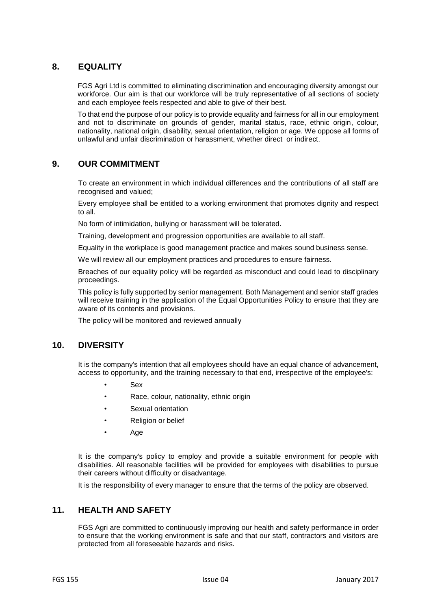## **8. EQUALITY**

FGS Agri Ltd is committed to eliminating discrimination and encouraging diversity amongst our workforce. Our aim is that our workforce will be truly representative of all sections of society and each employee feels respected and able to give of their best.

To that end the purpose of our policy is to provide equality and fairness for all in our employment and not to discriminate on grounds of gender, marital status, race, ethnic origin, colour, nationality, national origin, disability, sexual orientation, religion or age. We oppose all forms of unlawful and unfair discrimination or harassment, whether direct or indirect.

## **9. OUR COMMITMENT**

To create an environment in which individual differences and the contributions of all staff are recognised and valued;

Every employee shall be entitled to a working environment that promotes dignity and respect to all.

No form of intimidation, bullying or harassment will be tolerated.

Training, development and progression opportunities are available to all staff.

Equality in the workplace is good management practice and makes sound business sense.

We will review all our employment practices and procedures to ensure fairness.

Breaches of our equality policy will be regarded as misconduct and could lead to disciplinary proceedings.

This policy is fully supported by senior management. Both Management and senior staff grades will receive training in the application of the Equal Opportunities Policy to ensure that they are aware of its contents and provisions.

The policy will be monitored and reviewed annually

#### **10. DIVERSITY**

It is the company's intention that all employees should have an equal chance of advancement, access to opportunity, and the training necessary to that end, irrespective of the employee's:

- Sex
- Race, colour, nationality, ethnic origin
- Sexual orientation
- Religion or belief
- Age

It is the company's policy to employ and provide a suitable environment for people with disabilities. All reasonable facilities will be provided for employees with disabilities to pursue their careers without difficulty or disadvantage.

It is the responsibility of every manager to ensure that the terms of the policy are observed.

#### **11. HEALTH AND SAFETY**

FGS Agri are committed to continuously improving our health and safety performance in order to ensure that the working environment is safe and that our staff, contractors and visitors are protected from all foreseeable hazards and risks.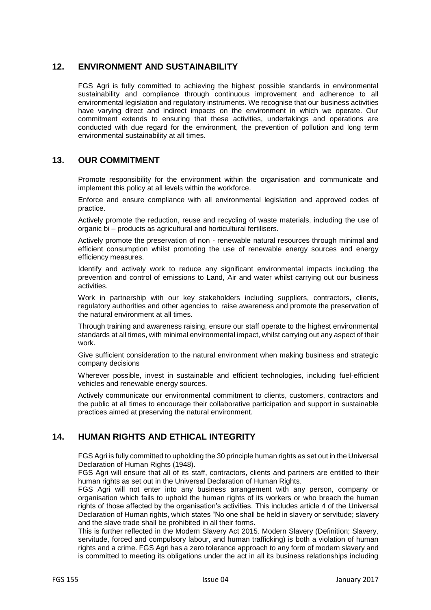## **12. ENVIRONMENT AND SUSTAINABILITY**

FGS Agri is fully committed to achieving the highest possible standards in environmental sustainability and compliance through continuous improvement and adherence to all environmental legislation and regulatory instruments. We recognise that our business activities have varying direct and indirect impacts on the environment in which we operate. Our commitment extends to ensuring that these activities, undertakings and operations are conducted with due regard for the environment, the prevention of pollution and long term environmental sustainability at all times.

#### **13. OUR COMMITMENT**

Promote responsibility for the environment within the organisation and communicate and implement this policy at all levels within the workforce.

Enforce and ensure compliance with all environmental legislation and approved codes of practice.

Actively promote the reduction, reuse and recycling of waste materials, including the use of organic bi – products as agricultural and horticultural fertilisers.

Actively promote the preservation of non - renewable natural resources through minimal and efficient consumption whilst promoting the use of renewable energy sources and energy efficiency measures.

Identify and actively work to reduce any significant environmental impacts including the prevention and control of emissions to Land, Air and water whilst carrying out our business activities.

Work in partnership with our key stakeholders including suppliers, contractors, clients, regulatory authorities and other agencies to raise awareness and promote the preservation of the natural environment at all times.

Through training and awareness raising, ensure our staff operate to the highest environmental standards at all times, with minimal environmental impact, whilst carrying out any aspect of their work.

Give sufficient consideration to the natural environment when making business and strategic company decisions

Wherever possible, invest in sustainable and efficient technologies, including fuel-efficient vehicles and renewable energy sources.

Actively communicate our environmental commitment to clients, customers, contractors and the public at all times to encourage their collaborative participation and support in sustainable practices aimed at preserving the natural environment.

## **14. HUMAN RIGHTS AND ETHICAL INTEGRITY**

FGS Agri is fully committed to upholding the 30 principle human rights as set out in the Universal Declaration of Human Rights (1948).

FGS Agri will ensure that all of its staff, contractors, clients and partners are entitled to their human rights as set out in the Universal Declaration of Human Rights.

FGS Agri will not enter into any business arrangement with any person, company or organisation which fails to uphold the human rights of its workers or who breach the human rights of those affected by the organisation's activities. This includes article 4 of the Universal Declaration of Human rights, which states "No one shall be held in slavery or servitude; slavery and the slave trade shall be prohibited in all their forms.

This is further reflected in the Modern Slavery Act 2015. Modern Slavery (Definition; Slavery, servitude, forced and compulsory labour, and human trafficking) is both a violation of human rights and a crime. FGS Agri has a zero tolerance approach to any form of modern slavery and is committed to meeting its obligations under the act in all its business relationships including